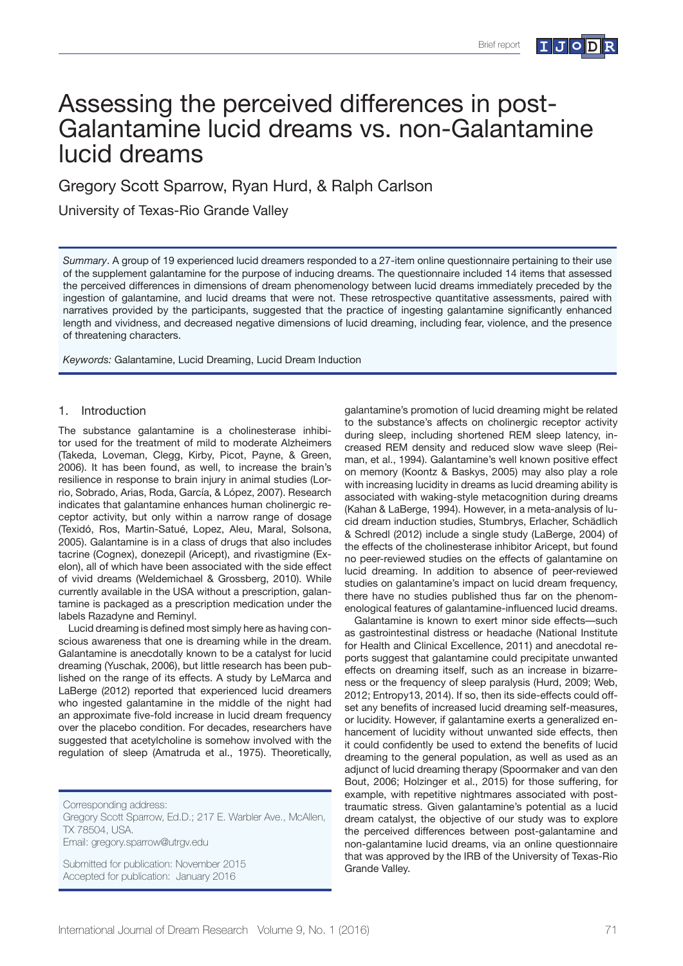# Assessing the perceived differences in post-Galantamine lucid dreams vs. non-Galantamine lucid dreams

Gregory Scott Sparrow, Ryan Hurd, & Ralph Carlson

University of Texas-Rio Grande Valley

*Summary*. A group of 19 experienced lucid dreamers responded to a 27-item online questionnaire pertaining to their use of the supplement galantamine for the purpose of inducing dreams. The questionnaire included 14 items that assessed the perceived differences in dimensions of dream phenomenology between lucid dreams immediately preceded by the ingestion of galantamine, and lucid dreams that were not. These retrospective quantitative assessments, paired with narratives provided by the participants, suggested that the practice of ingesting galantamine significantly enhanced length and vividness, and decreased negative dimensions of lucid dreaming, including fear, violence, and the presence of threatening characters.

*Keywords:* Galantamine, Lucid Dreaming, Lucid Dream Induction

### 1. Introduction

The substance galantamine is a cholinesterase inhibitor used for the treatment of mild to moderate Alzheimers (Takeda, Loveman, Clegg, Kirby, Picot, Payne, & Green, 2006). It has been found, as well, to increase the brain's resilience in response to brain injury in animal studies (Lorrio, Sobrado, Arias, Roda, García, & López, 2007). Research indicates that galantamine enhances human cholinergic receptor activity, but only within a narrow range of dosage (Texidó, Ros, Martin-Satué, Lopez, Aleu, Maral, Solsona, 2005). Galantamine is in a class of drugs that also includes tacrine (Cognex), donezepil (Aricept), and rivastigmine (Exelon), all of which have been associated with the side effect of vivid dreams (Weldemichael & Grossberg, 2010). While currently available in the USA without a prescription, galantamine is packaged as a prescription medication under the labels Razadyne and Reminyl.

Lucid dreaming is defined most simply here as having conscious awareness that one is dreaming while in the dream. Galantamine is anecdotally known to be a catalyst for lucid dreaming (Yuschak, 2006), but little research has been published on the range of its effects. A study by LeMarca and LaBerge (2012) reported that experienced lucid dreamers who ingested galantamine in the middle of the night had an approximate five-fold increase in lucid dream frequency over the placebo condition. For decades, researchers have suggested that acetylcholine is somehow involved with the regulation of sleep (Amatruda et al., 1975). Theoretically,

Corresponding address:

Gregory Scott Sparrow, Ed.D.; 217 E. Warbler Ave., McAllen, TX 78504, USA. Email: gregory.sparrow@utrgv.edu

Submitted for publication: November 2015 Accepted for publication: January 2016

galantamine's promotion of lucid dreaming might be related to the substance's affects on cholinergic receptor activity during sleep, including shortened REM sleep latency, increased REM density and reduced slow wave sleep (Reiman, et al., 1994). Galantamine's well known positive effect on memory (Koontz & Baskys, 2005) may also play a role with increasing lucidity in dreams as lucid dreaming ability is associated with waking-style metacognition during dreams (Kahan & LaBerge, 1994). However, in a meta-analysis of lucid dream induction studies, Stumbrys, Erlacher, Schädlich & Schredl (2012) include a single study (LaBerge, 2004) of the effects of the cholinesterase inhibitor Aricept, but found no peer-reviewed studies on the effects of galantamine on lucid dreaming. In addition to absence of peer-reviewed studies on galantamine's impact on lucid dream frequency, there have no studies published thus far on the phenomenological features of galantamine-influenced lucid dreams.

Galantamine is known to exert minor side effects––such as gastrointestinal distress or headache (National Institute for Health and Clinical Excellence, 2011) and anecdotal reports suggest that galantamine could precipitate unwanted effects on dreaming itself, such as an increase in bizarreness or the frequency of sleep paralysis (Hurd, 2009; Web, 2012; Entropy13, 2014). If so, then its side-effects could offset any benefits of increased lucid dreaming self-measures, or lucidity. However, if galantamine exerts a generalized enhancement of lucidity without unwanted side effects, then it could confidently be used to extend the benefits of lucid dreaming to the general population, as well as used as an adjunct of lucid dreaming therapy (Spoormaker and van den Bout, 2006; Holzinger et al., 2015) for those suffering, for example, with repetitive nightmares associated with posttraumatic stress. Given galantamine's potential as a lucid dream catalyst, the objective of our study was to explore the perceived differences between post-galantamine and non-galantamine lucid dreams, via an online questionnaire that was approved by the IRB of the University of Texas-Rio Grande Valley.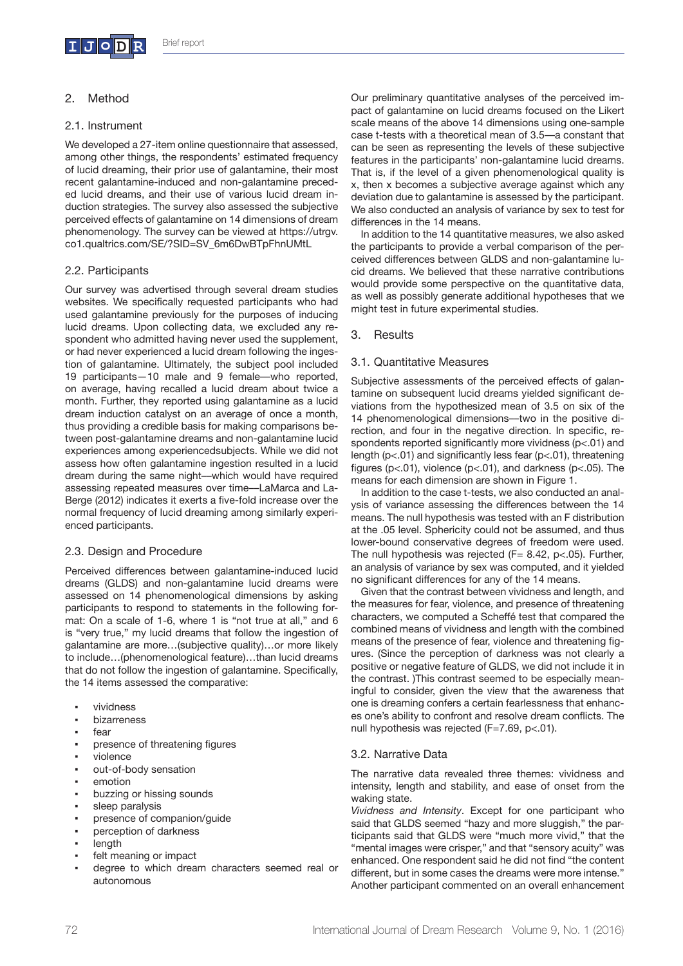

## 2. Method

#### 2.1. Instrument

We developed a 27-item online questionnaire that assessed, among other things, the respondents' estimated frequency of lucid dreaming, their prior use of galantamine, their most recent galantamine-induced and non-galantamine preceded lucid dreams, and their use of various lucid dream induction strategies. The survey also assessed the subjective perceived effects of galantamine on 14 dimensions of dream phenomenology. The survey can be viewed at https://utrgv. co1.qualtrics.com/SE/?SID=SV\_6m6DwBTpFhnUMtL

### 2.2. Participants

Our survey was advertised through several dream studies websites. We specifically requested participants who had used galantamine previously for the purposes of inducing lucid dreams. Upon collecting data, we excluded any respondent who admitted having never used the supplement, or had never experienced a lucid dream following the ingestion of galantamine. Ultimately, the subject pool included 19 participants—10 male and 9 female––who reported, on average, having recalled a lucid dream about twice a month. Further, they reported using galantamine as a lucid dream induction catalyst on an average of once a month, thus providing a credible basis for making comparisons between post-galantamine dreams and non-galantamine lucid experiences among experiencedsubjects. While we did not assess how often galantamine ingestion resulted in a lucid dream during the same night––which would have required assessing repeated measures over time––LaMarca and La-Berge (2012) indicates it exerts a five-fold increase over the normal frequency of lucid dreaming among similarly experienced participants.

### 2.3. Design and Procedure

Perceived differences between galantamine-induced lucid dreams (GLDS) and non-galantamine lucid dreams were assessed on 14 phenomenological dimensions by asking participants to respond to statements in the following format: On a scale of 1-6, where 1 is "not true at all," and 6 is "very true," my lucid dreams that follow the ingestion of galantamine are more…(subjective quality)…or more likely to include…(phenomenological feature)…than lucid dreams that do not follow the ingestion of galantamine. Specifically, the 14 items assessed the comparative:

- vividness
- **bizarreness**
- fear
- presence of threatening figures
- violence
- out-of-body sensation
- emotion
- buzzing or hissing sounds
- sleep paralysis
- presence of companion/guide
- perception of darkness
- length
- felt meaning or impact
- degree to which dream characters seemed real or autonomous

Our preliminary quantitative analyses of the perceived impact of galantamine on lucid dreams focused on the Likert scale means of the above 14 dimensions using one-sample case t-tests with a theoretical mean of 3.5––a constant that can be seen as representing the levels of these subjective features in the participants' non-galantamine lucid dreams. That is, if the level of a given phenomenological quality is x, then x becomes a subjective average against which any deviation due to galantamine is assessed by the participant. We also conducted an analysis of variance by sex to test for differences in the 14 means.

In addition to the 14 quantitative measures, we also asked the participants to provide a verbal comparison of the perceived differences between GLDS and non-galantamine lucid dreams. We believed that these narrative contributions would provide some perspective on the quantitative data, as well as possibly generate additional hypotheses that we might test in future experimental studies.

3. Results

### 3.1. Quantitative Measures

Subjective assessments of the perceived effects of galantamine on subsequent lucid dreams yielded significant deviations from the hypothesized mean of 3.5 on six of the 14 phenomenological dimensions––two in the positive direction, and four in the negative direction. In specific, respondents reported significantly more vividness (p<.01) and length (p<.01) and significantly less fear (p<.01), threatening figures (p<.01), violence (p<.01), and darkness (p<.05). The means for each dimension are shown in Figure 1.

In addition to the case t-tests, we also conducted an analysis of variance assessing the differences between the 14 means. The null hypothesis was tested with an F distribution at the .05 level. Sphericity could not be assumed, and thus lower-bound conservative degrees of freedom were used. The null hypothesis was rejected ( $F= 8.42$ , p<.05). Further, an analysis of variance by sex was computed, and it yielded no significant differences for any of the 14 means.

Given that the contrast between vividness and length, and the measures for fear, violence, and presence of threatening characters, we computed a Scheffé test that compared the combined means of vividness and length with the combined means of the presence of fear, violence and threatening figures. (Since the perception of darkness was not clearly a positive or negative feature of GLDS, we did not include it in the contrast. )This contrast seemed to be especially meaningful to consider, given the view that the awareness that one is dreaming confers a certain fearlessness that enhances one's ability to confront and resolve dream conflicts. The null hypothesis was rejected (F=7.69, p<.01).

### 3.2. Narrative Data

The narrative data revealed three themes: vividness and intensity, length and stability, and ease of onset from the waking state.

*Vividness and Intensity*. Except for one participant who said that GLDS seemed "hazy and more sluggish," the participants said that GLDS were "much more vivid," that the "mental images were crisper," and that "sensory acuity" was enhanced. One respondent said he did not find "the content different, but in some cases the dreams were more intense." Another participant commented on an overall enhancement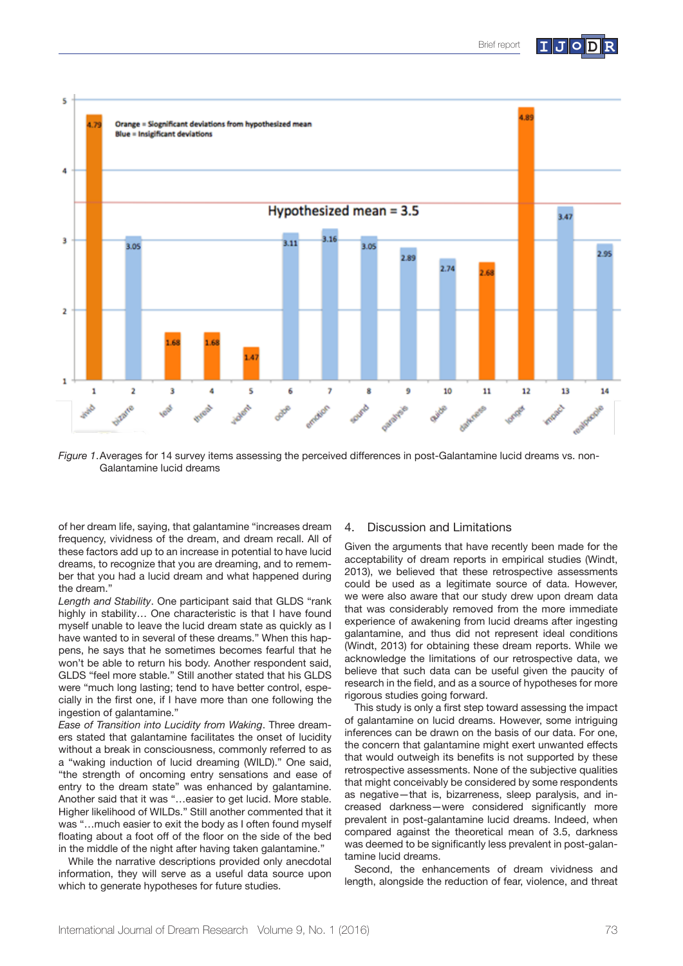

*Figure 1*.Averages for 14 survey items assessing the perceived differences in post-Galantamine lucid dreams vs. non-Galantamine lucid dreams

of her dream life, saying, that galantamine "increases dream frequency, vividness of the dream, and dream recall. All of these factors add up to an increase in potential to have lucid dreams, to recognize that you are dreaming, and to remember that you had a lucid dream and what happened during the dream."

*Length and Stability*. One participant said that GLDS "rank highly in stability... One characteristic is that I have found myself unable to leave the lucid dream state as quickly as I have wanted to in several of these dreams." When this happens, he says that he sometimes becomes fearful that he won't be able to return his body. Another respondent said, GLDS "feel more stable." Still another stated that his GLDS were "much long lasting; tend to have better control, especially in the first one, if I have more than one following the ingestion of galantamine."

*Ease of Transition into Lucidity from Waking*. Three dreamers stated that galantamine facilitates the onset of lucidity without a break in consciousness, commonly referred to as a "waking induction of lucid dreaming (WILD)." One said, "the strength of oncoming entry sensations and ease of entry to the dream state" was enhanced by galantamine. Another said that it was "…easier to get lucid. More stable. Higher likelihood of WILDs." Still another commented that it was "…much easier to exit the body as I often found myself floating about a foot off of the floor on the side of the bed in the middle of the night after having taken galantamine."

While the narrative descriptions provided only anecdotal information, they will serve as a useful data source upon which to generate hypotheses for future studies.

#### 4. Discussion and Limitations

Given the arguments that have recently been made for the acceptability of dream reports in empirical studies (Windt, 2013), we believed that these retrospective assessments could be used as a legitimate source of data. However, we were also aware that our study drew upon dream data that was considerably removed from the more immediate experience of awakening from lucid dreams after ingesting galantamine, and thus did not represent ideal conditions (Windt, 2013) for obtaining these dream reports. While we acknowledge the limitations of our retrospective data, we believe that such data can be useful given the paucity of research in the field, and as a source of hypotheses for more rigorous studies going forward.

This study is only a first step toward assessing the impact of galantamine on lucid dreams. However, some intriguing inferences can be drawn on the basis of our data. For one, the concern that galantamine might exert unwanted effects that would outweigh its benefits is not supported by these retrospective assessments. None of the subjective qualities that might conceivably be considered by some respondents as negative—that is, bizarreness, sleep paralysis, and increased darkness—were considered significantly more prevalent in post-galantamine lucid dreams. Indeed, when compared against the theoretical mean of 3.5, darkness was deemed to be significantly less prevalent in post-galantamine lucid dreams.

Second, the enhancements of dream vividness and length, alongside the reduction of fear, violence, and threat